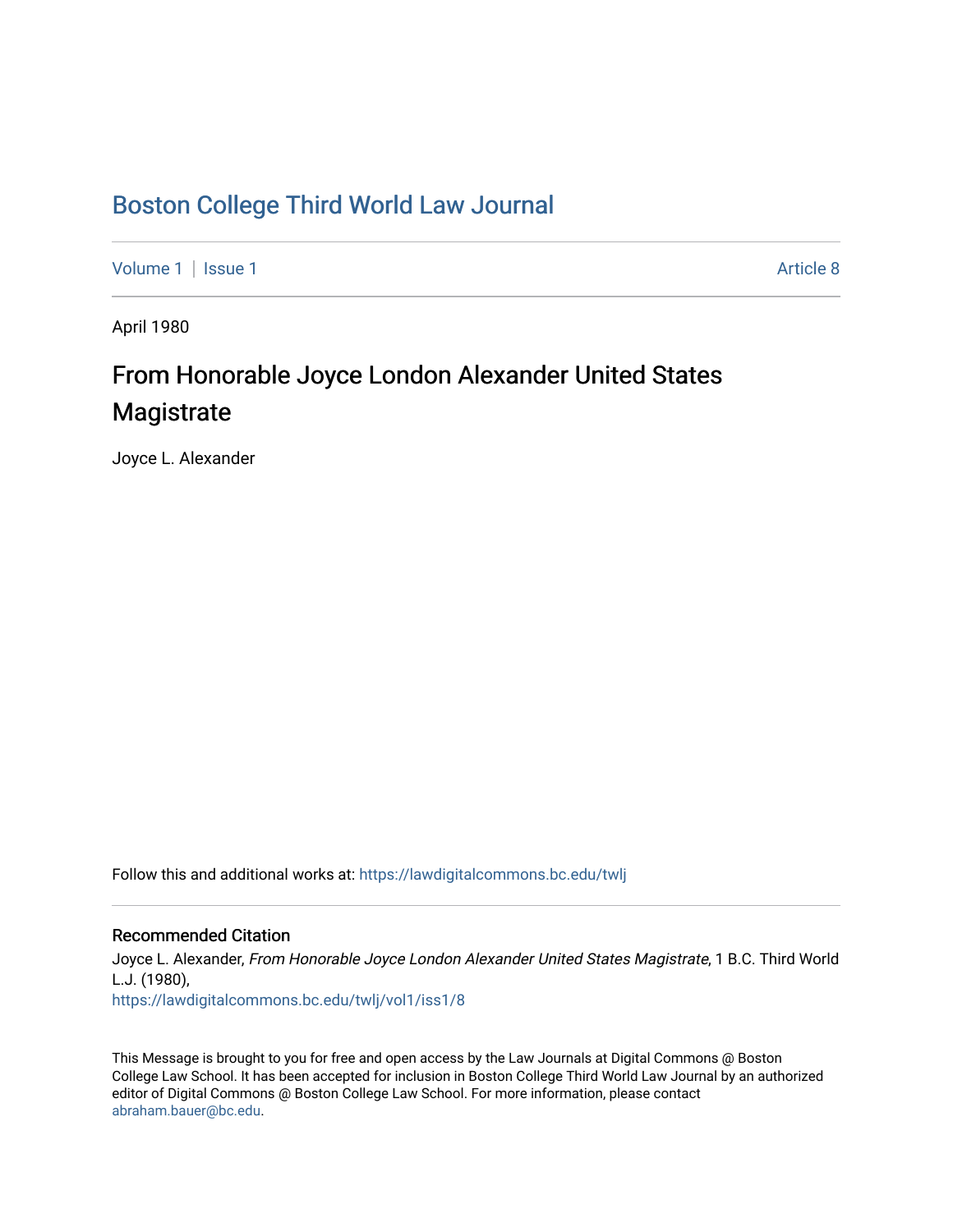## [Boston College Third World Law Journal](https://lawdigitalcommons.bc.edu/twlj)

[Volume 1](https://lawdigitalcommons.bc.edu/twlj/vol1) | [Issue 1](https://lawdigitalcommons.bc.edu/twlj/vol1/iss1) Article 8

April 1980

## From Honorable Joyce London Alexander United States Magistrate

Joyce L. Alexander

Follow this and additional works at: [https://lawdigitalcommons.bc.edu/twlj](https://lawdigitalcommons.bc.edu/twlj?utm_source=lawdigitalcommons.bc.edu%2Ftwlj%2Fvol1%2Fiss1%2F8&utm_medium=PDF&utm_campaign=PDFCoverPages) 

## Recommended Citation

Joyce L. Alexander, From Honorable Joyce London Alexander United States Magistrate, 1 B.C. Third World L.J. (1980), [https://lawdigitalcommons.bc.edu/twlj/vol1/iss1/8](https://lawdigitalcommons.bc.edu/twlj/vol1/iss1/8?utm_source=lawdigitalcommons.bc.edu%2Ftwlj%2Fvol1%2Fiss1%2F8&utm_medium=PDF&utm_campaign=PDFCoverPages) 

This Message is brought to you for free and open access by the Law Journals at Digital Commons @ Boston College Law School. It has been accepted for inclusion in Boston College Third World Law Journal by an authorized editor of Digital Commons @ Boston College Law School. For more information, please contact [abraham.bauer@bc.edu.](mailto:abraham.bauer@bc.edu)